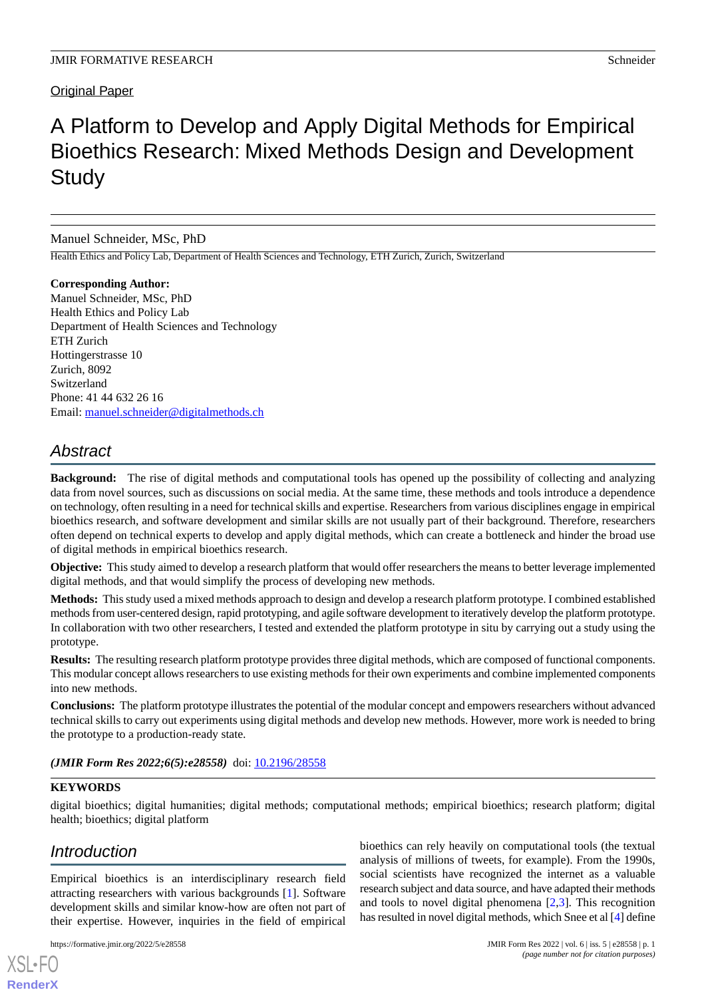### Original Paper

# A Platform to Develop and Apply Digital Methods for Empirical Bioethics Research: Mixed Methods Design and Development **Study**

Manuel Schneider, MSc, PhD

Health Ethics and Policy Lab, Department of Health Sciences and Technology, ETH Zurich, Zurich, Switzerland

**Corresponding Author:** Manuel Schneider, MSc, PhD Health Ethics and Policy Lab Department of Health Sciences and Technology ETH Zurich Hottingerstrasse 10 Zurich, 8092 Switzerland Phone: 41 44 632 26 16 Email: [manuel.schneider@digitalmethods.ch](mailto:manuel.schneider@digitalmethods.ch)

## *Abstract*

**Background:** The rise of digital methods and computational tools has opened up the possibility of collecting and analyzing data from novel sources, such as discussions on social media. At the same time, these methods and tools introduce a dependence on technology, often resulting in a need for technical skills and expertise. Researchers from various disciplines engage in empirical bioethics research, and software development and similar skills are not usually part of their background. Therefore, researchers often depend on technical experts to develop and apply digital methods, which can create a bottleneck and hinder the broad use of digital methods in empirical bioethics research.

**Objective:** This study aimed to develop a research platform that would offer researchers the means to better leverage implemented digital methods, and that would simplify the process of developing new methods.

**Methods:** This study used a mixed methods approach to design and develop a research platform prototype. I combined established methods from user-centered design, rapid prototyping, and agile software development to iteratively develop the platform prototype. In collaboration with two other researchers, I tested and extended the platform prototype in situ by carrying out a study using the prototype.

**Results:** The resulting research platform prototype provides three digital methods, which are composed of functional components. This modular concept allows researchers to use existing methods for their own experiments and combine implemented components into new methods.

**Conclusions:** The platform prototype illustrates the potential of the modular concept and empowers researchers without advanced technical skills to carry out experiments using digital methods and develop new methods. However, more work is needed to bring the prototype to a production-ready state.

#### (JMIR Form Res 2022;6(5):e28558) doi: [10.2196/28558](http://dx.doi.org/10.2196/28558)

#### **KEYWORDS**

digital bioethics; digital humanities; digital methods; computational methods; empirical bioethics; research platform; digital health; bioethics; digital platform

## *Introduction*

[XSL](http://www.w3.org/Style/XSL)•FO **[RenderX](http://www.renderx.com/)**

Empirical bioethics is an interdisciplinary research field attracting researchers with various backgrounds [[1\]](#page-6-0). Software development skills and similar know-how are often not part of their expertise. However, inquiries in the field of empirical

bioethics can rely heavily on computational tools (the textual analysis of millions of tweets, for example). From the 1990s, social scientists have recognized the internet as a valuable research subject and data source, and have adapted their methods and tools to novel digital phenomena  $[2,3]$  $[2,3]$  $[2,3]$  $[2,3]$ . This recognition has resulted in novel digital methods*,* which Snee et al [\[4](#page-6-3)] define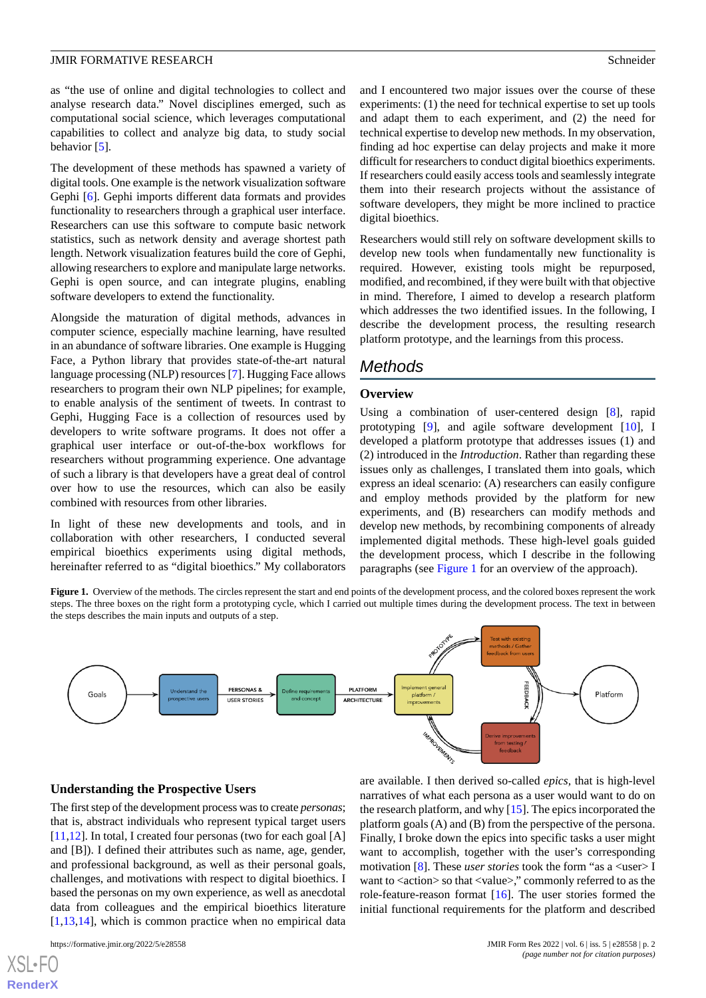as "the use of online and digital technologies to collect and analyse research data." Novel disciplines emerged, such as computational social science, which leverages computational capabilities to collect and analyze big data, to study social behavior [\[5](#page-6-4)].

The development of these methods has spawned a variety of digital tools. One example is the network visualization software Gephi [[6](#page-6-5)]. Gephi imports different data formats and provides functionality to researchers through a graphical user interface. Researchers can use this software to compute basic network statistics, such as network density and average shortest path length. Network visualization features build the core of Gephi, allowing researchers to explore and manipulate large networks. Gephi is open source, and can integrate plugins, enabling software developers to extend the functionality.

Alongside the maturation of digital methods, advances in computer science, especially machine learning, have resulted in an abundance of software libraries. One example is Hugging Face, a Python library that provides state-of-the-art natural language processing (NLP) resources [[7\]](#page-6-6). Hugging Face allows researchers to program their own NLP pipelines; for example, to enable analysis of the sentiment of tweets. In contrast to Gephi, Hugging Face is a collection of resources used by developers to write software programs. It does not offer a graphical user interface or out-of-the-box workflows for researchers without programming experience. One advantage of such a library is that developers have a great deal of control over how to use the resources, which can also be easily combined with resources from other libraries.

<span id="page-1-0"></span>In light of these new developments and tools, and in collaboration with other researchers, I conducted several empirical bioethics experiments using digital methods, hereinafter referred to as "digital bioethics." My collaborators and I encountered two major issues over the course of these experiments: (1) the need for technical expertise to set up tools and adapt them to each experiment, and (2) the need for technical expertise to develop new methods. In my observation, finding ad hoc expertise can delay projects and make it more difficult for researchers to conduct digital bioethics experiments. If researchers could easily access tools and seamlessly integrate them into their research projects without the assistance of software developers, they might be more inclined to practice digital bioethics.

Researchers would still rely on software development skills to develop new tools when fundamentally new functionality is required. However, existing tools might be repurposed, modified, and recombined, if they were built with that objective in mind. Therefore, I aimed to develop a research platform which addresses the two identified issues. In the following, I describe the development process, the resulting research platform prototype, and the learnings from this process.

### *Methods*

#### **Overview**

Using a combination of user-centered design [\[8\]](#page-6-7), rapid prototyping [\[9](#page-6-8)], and agile software development [[10\]](#page-6-9), I developed a platform prototype that addresses issues (1) and (2) introduced in the *Introduction*. Rather than regarding these issues only as challenges, I translated them into goals, which express an ideal scenario: (A) researchers can easily configure and employ methods provided by the platform for new experiments, and (B) researchers can modify methods and develop new methods, by recombining components of already implemented digital methods. These high-level goals guided the development process, which I describe in the following paragraphs (see [Figure 1](#page-1-0) for an overview of the approach).

Figure 1. Overview of the methods. The circles represent the start and end points of the development process, and the colored boxes represent the work steps. The three boxes on the right form a prototyping cycle, which I carried out multiple times during the development process. The text in between the steps describes the main inputs and outputs of a step.



#### **Understanding the Prospective Users**

The first step of the development process was to create *personas*; that is, abstract individuals who represent typical target users [[11](#page-6-10)[,12](#page-6-11)]. In total, I created four personas (two for each goal [A] and [B]). I defined their attributes such as name, age, gender, and professional background, as well as their personal goals, challenges, and motivations with respect to digital bioethics. I based the personas on my own experience, as well as anecdotal data from colleagues and the empirical bioethics literature  $[1,13,14]$  $[1,13,14]$  $[1,13,14]$  $[1,13,14]$  $[1,13,14]$ , which is common practice when no empirical data

are available. I then derived so-called *epics,* that is high-level narratives of what each persona as a user would want to do on the research platform, and why [\[15](#page-6-14)]. The epics incorporated the platform goals (A) and (B) from the perspective of the persona. Finally, I broke down the epics into specific tasks a user might want to accomplish, together with the user's corresponding motivation [\[8](#page-6-7)]. These *user stories* took the form "as a <user> I want to <action> so that <value>," commonly referred to as the role-feature-reason format [[16\]](#page-6-15). The user stories formed the initial functional requirements for the platform and described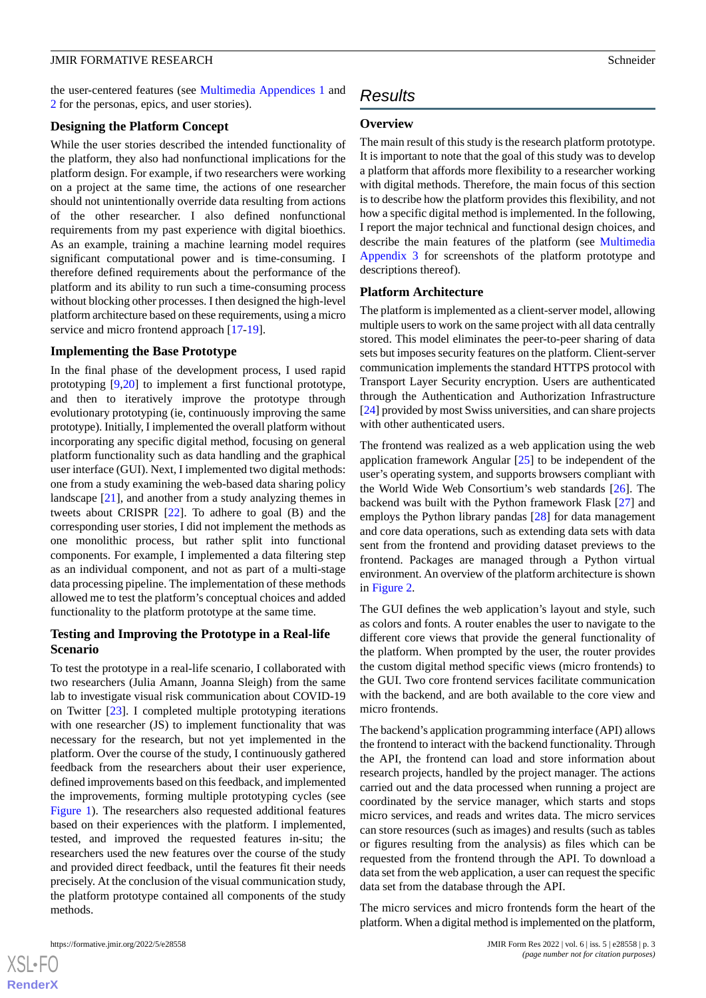the user-centered features (see [Multimedia Appendices 1](#page-6-16) and [2](#page-6-17) for the personas, epics, and user stories).

#### **Designing the Platform Concept**

While the user stories described the intended functionality of the platform, they also had nonfunctional implications for the platform design. For example, if two researchers were working on a project at the same time, the actions of one researcher should not unintentionally override data resulting from actions of the other researcher. I also defined nonfunctional requirements from my past experience with digital bioethics. As an example, training a machine learning model requires significant computational power and is time-consuming. I therefore defined requirements about the performance of the platform and its ability to run such a time-consuming process without blocking other processes. I then designed the high-level platform architecture based on these requirements, using a micro service and micro frontend approach [[17](#page-6-18)[-19](#page-7-0)].

#### **Implementing the Base Prototype**

In the final phase of the development process, I used rapid prototyping [\[9](#page-6-8),[20\]](#page-7-1) to implement a first functional prototype, and then to iteratively improve the prototype through evolutionary prototyping (ie, continuously improving the same prototype). Initially, I implemented the overall platform without incorporating any specific digital method, focusing on general platform functionality such as data handling and the graphical user interface (GUI). Next, I implemented two digital methods: one from a study examining the web-based data sharing policy landscape [\[21](#page-7-2)], and another from a study analyzing themes in tweets about CRISPR [[22\]](#page-7-3). To adhere to goal (B) and the corresponding user stories, I did not implement the methods as one monolithic process, but rather split into functional components. For example, I implemented a data filtering step as an individual component, and not as part of a multi-stage data processing pipeline. The implementation of these methods allowed me to test the platform's conceptual choices and added functionality to the platform prototype at the same time.

#### **Testing and Improving the Prototype in a Real-life Scenario**

To test the prototype in a real-life scenario, I collaborated with two researchers (Julia Amann, Joanna Sleigh) from the same lab to investigate visual risk communication about COVID-19 on Twitter [[23\]](#page-7-4). I completed multiple prototyping iterations with one researcher (JS) to implement functionality that was necessary for the research, but not yet implemented in the platform. Over the course of the study, I continuously gathered feedback from the researchers about their user experience, defined improvements based on this feedback, and implemented the improvements, forming multiple prototyping cycles (see [Figure 1](#page-1-0)). The researchers also requested additional features based on their experiences with the platform. I implemented, tested, and improved the requested features in-situ; the researchers used the new features over the course of the study and provided direct feedback, until the features fit their needs precisely. At the conclusion of the visual communication study, the platform prototype contained all components of the study methods.

### *Results*

#### **Overview**

The main result of this study is the research platform prototype. It is important to note that the goal of this study was to develop a platform that affords more flexibility to a researcher working with digital methods. Therefore, the main focus of this section is to describe how the platform provides this flexibility, and not how a specific digital method is implemented. In the following, I report the major technical and functional design choices, and describe the main features of the platform (see [Multimedia](#page-6-19) [Appendix 3](#page-6-19) for screenshots of the platform prototype and descriptions thereof).

#### **Platform Architecture**

The platform is implemented as a client-server model, allowing multiple users to work on the same project with all data centrally stored. This model eliminates the peer-to-peer sharing of data sets but imposes security features on the platform. Client-server communication implements the standard HTTPS protocol with Transport Layer Security encryption. Users are authenticated through the Authentication and Authorization Infrastructure [[24\]](#page-7-5) provided by most Swiss universities, and can share projects with other authenticated users.

The frontend was realized as a web application using the web application framework Angular [\[25](#page-7-6)] to be independent of the user's operating system, and supports browsers compliant with the World Wide Web Consortium's web standards [[26\]](#page-7-7). The backend was built with the Python framework Flask [[27\]](#page-7-8) and employs the Python library pandas [[28\]](#page-7-9) for data management and core data operations, such as extending data sets with data sent from the frontend and providing dataset previews to the frontend. Packages are managed through a Python virtual environment. An overview of the platform architecture is shown in [Figure 2.](#page-3-0)

The GUI defines the web application's layout and style, such as colors and fonts. A router enables the user to navigate to the different core views that provide the general functionality of the platform. When prompted by the user, the router provides the custom digital method specific views (micro frontends) to the GUI. Two core frontend services facilitate communication with the backend, and are both available to the core view and micro frontends.

The backend's application programming interface (API) allows the frontend to interact with the backend functionality. Through the API, the frontend can load and store information about research projects, handled by the project manager. The actions carried out and the data processed when running a project are coordinated by the service manager, which starts and stops micro services, and reads and writes data. The micro services can store resources (such as images) and results (such as tables or figures resulting from the analysis) as files which can be requested from the frontend through the API. To download a data set from the web application, a user can request the specific data set from the database through the API.

The micro services and micro frontends form the heart of the platform. When a digital method is implemented on the platform,

```
XS-FO
RenderX
```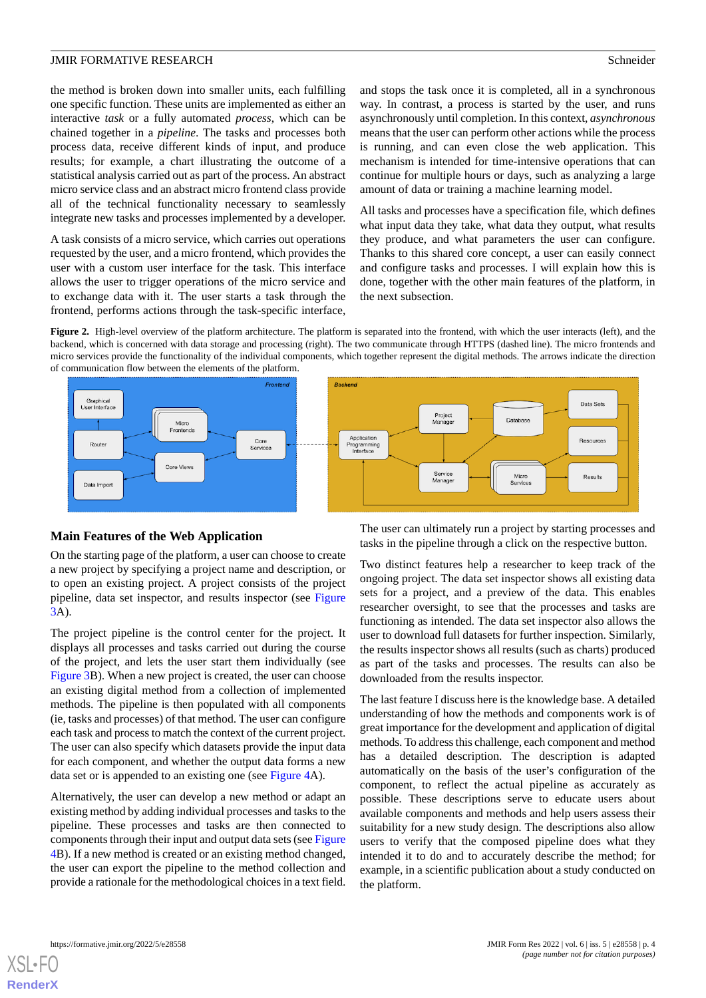the method is broken down into smaller units, each fulfilling one specific function. These units are implemented as either an interactive *task* or a fully automated *process*, which can be chained together in a *pipeline*. The tasks and processes both process data, receive different kinds of input, and produce results; for example, a chart illustrating the outcome of a statistical analysis carried out as part of the process. An abstract micro service class and an abstract micro frontend class provide all of the technical functionality necessary to seamlessly integrate new tasks and processes implemented by a developer.

A task consists of a micro service, which carries out operations requested by the user, and a micro frontend, which provides the user with a custom user interface for the task. This interface allows the user to trigger operations of the micro service and to exchange data with it. The user starts a task through the frontend, performs actions through the task-specific interface,

and stops the task once it is completed, all in a synchronous way. In contrast, a process is started by the user, and runs asynchronously until completion. In this context, *asynchronous* means that the user can perform other actions while the process is running, and can even close the web application. This mechanism is intended for time-intensive operations that can continue for multiple hours or days, such as analyzing a large amount of data or training a machine learning model.

All tasks and processes have a specification file, which defines what input data they take, what data they output, what results they produce, and what parameters the user can configure. Thanks to this shared core concept, a user can easily connect and configure tasks and processes. I will explain how this is done, together with the other main features of the platform, in the next subsection.

<span id="page-3-0"></span>**Figure 2.** High-level overview of the platform architecture. The platform is separated into the frontend, with which the user interacts (left), and the backend, which is concerned with data storage and processing (right). The two communicate through HTTPS (dashed line). The micro frontends and micro services provide the functionality of the individual components, which together represent the digital methods. The arrows indicate the direction of communication flow between the elements of the platform.





#### **Main Features of the Web Application**

On the starting page of the platform, a user can choose to create a new project by specifying a project name and description, or to open an existing project. A project consists of the project pipeline, data set inspector, and results inspector (see [Figure](#page-4-0) [3A](#page-4-0)).

The project pipeline is the control center for the project. It displays all processes and tasks carried out during the course of the project, and lets the user start them individually (see [Figure 3B](#page-4-0)). When a new project is created, the user can choose an existing digital method from a collection of implemented methods. The pipeline is then populated with all components (ie, tasks and processes) of that method. The user can configure each task and process to match the context of the current project. The user can also specify which datasets provide the input data for each component, and whether the output data forms a new data set or is appended to an existing one (see [Figure 4A](#page-4-1)).

Alternatively, the user can develop a new method or adapt an existing method by adding individual processes and tasks to the pipeline. These processes and tasks are then connected to components through their input and output data sets (see [Figure](#page-4-1) [4B](#page-4-1)). If a new method is created or an existing method changed, the user can export the pipeline to the method collection and provide a rationale for the methodological choices in a text field.

The user can ultimately run a project by starting processes and tasks in the pipeline through a click on the respective button.

Two distinct features help a researcher to keep track of the ongoing project. The data set inspector shows all existing data sets for a project, and a preview of the data. This enables researcher oversight, to see that the processes and tasks are functioning as intended. The data set inspector also allows the user to download full datasets for further inspection. Similarly, the results inspector shows all results (such as charts) produced as part of the tasks and processes. The results can also be downloaded from the results inspector.

The last feature I discuss here is the knowledge base. A detailed understanding of how the methods and components work is of great importance for the development and application of digital methods. To address this challenge, each component and method has a detailed description. The description is adapted automatically on the basis of the user's configuration of the component, to reflect the actual pipeline as accurately as possible. These descriptions serve to educate users about available components and methods and help users assess their suitability for a new study design. The descriptions also allow users to verify that the composed pipeline does what they intended it to do and to accurately describe the method; for example, in a scientific publication about a study conducted on the platform.

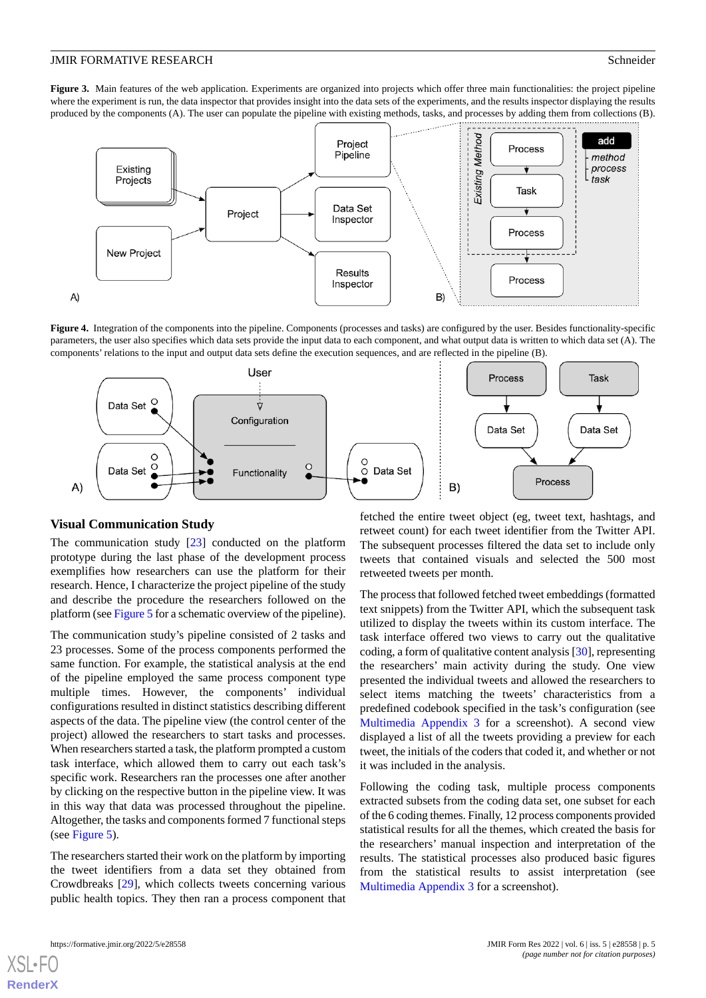<span id="page-4-0"></span>Figure 3. Main features of the web application. Experiments are organized into projects which offer three main functionalities: the project pipeline where the experiment is run, the data inspector that provides insight into the data sets of the experiments, and the results inspector displaying the results produced by the components (A). The user can populate the pipeline with existing methods, tasks, and processes by adding them from collections (B).



<span id="page-4-1"></span>**Figure 4.** Integration of the components into the pipeline. Components (processes and tasks) are configured by the user. Besides functionality-specific parameters, the user also specifies which data sets provide the input data to each component, and what output data is written to which data set (A). The components' relations to the input and output data sets define the execution sequences, and are reflected in the pipeline (B).



#### **Visual Communication Study**

The communication study [\[23](#page-7-4)] conducted on the platform prototype during the last phase of the development process exemplifies how researchers can use the platform for their research. Hence, I characterize the project pipeline of the study and describe the procedure the researchers followed on the platform (see [Figure 5](#page-5-0) for a schematic overview of the pipeline).

The communication study's pipeline consisted of 2 tasks and 23 processes. Some of the process components performed the same function. For example, the statistical analysis at the end of the pipeline employed the same process component type multiple times. However, the components' individual configurations resulted in distinct statistics describing different aspects of the data. The pipeline view (the control center of the project) allowed the researchers to start tasks and processes. When researchers started a task, the platform prompted a custom task interface, which allowed them to carry out each task's specific work. Researchers ran the processes one after another by clicking on the respective button in the pipeline view. It was in this way that data was processed throughout the pipeline. Altogether, the tasks and components formed 7 functional steps (see [Figure 5\)](#page-5-0).

The researchers started their work on the platform by importing the tweet identifiers from a data set they obtained from Crowdbreaks [[29\]](#page-7-10), which collects tweets concerning various public health topics. They then ran a process component that

fetched the entire tweet object (eg, tweet text, hashtags, and retweet count) for each tweet identifier from the Twitter API. The subsequent processes filtered the data set to include only tweets that contained visuals and selected the 500 most retweeted tweets per month.

The process that followed fetched tweet embeddings (formatted text snippets) from the Twitter API, which the subsequent task utilized to display the tweets within its custom interface. The task interface offered two views to carry out the qualitative coding, a form of qualitative content analysis [[30\]](#page-7-11), representing the researchers' main activity during the study. One view presented the individual tweets and allowed the researchers to select items matching the tweets' characteristics from a predefined codebook specified in the task's configuration (see [Multimedia Appendix 3](#page-6-19) for a screenshot). A second view displayed a list of all the tweets providing a preview for each tweet, the initials of the coders that coded it, and whether or not it was included in the analysis.

Following the coding task, multiple process components extracted subsets from the coding data set, one subset for each of the 6 coding themes. Finally, 12 process components provided statistical results for all the themes, which created the basis for the researchers' manual inspection and interpretation of the results. The statistical processes also produced basic figures from the statistical results to assist interpretation (see [Multimedia Appendix 3](#page-6-19) for a screenshot).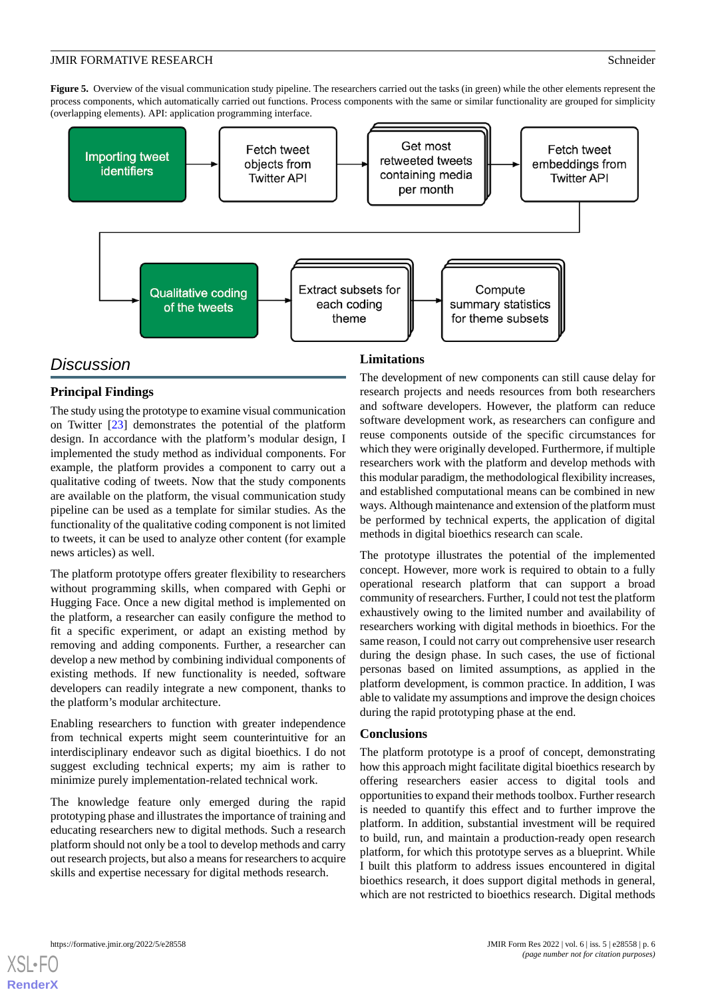<span id="page-5-0"></span>**Figure 5.** Overview of the visual communication study pipeline. The researchers carried out the tasks (in green) while the other elements represent the process components, which automatically carried out functions. Process components with the same or similar functionality are grouped for simplicity (overlapping elements). API: application programming interface.



### *Discussion*

### **Principal Findings**

The study using the prototype to examine visual communication on Twitter [\[23](#page-7-4)] demonstrates the potential of the platform design. In accordance with the platform's modular design, I implemented the study method as individual components. For example, the platform provides a component to carry out a qualitative coding of tweets. Now that the study components are available on the platform, the visual communication study pipeline can be used as a template for similar studies. As the functionality of the qualitative coding component is not limited to tweets, it can be used to analyze other content (for example news articles) as well.

The platform prototype offers greater flexibility to researchers without programming skills, when compared with Gephi or Hugging Face. Once a new digital method is implemented on the platform, a researcher can easily configure the method to fit a specific experiment, or adapt an existing method by removing and adding components. Further, a researcher can develop a new method by combining individual components of existing methods. If new functionality is needed, software developers can readily integrate a new component, thanks to the platform's modular architecture.

Enabling researchers to function with greater independence from technical experts might seem counterintuitive for an interdisciplinary endeavor such as digital bioethics. I do not suggest excluding technical experts; my aim is rather to minimize purely implementation-related technical work.

The knowledge feature only emerged during the rapid prototyping phase and illustrates the importance of training and educating researchers new to digital methods. Such a research platform should not only be a tool to develop methods and carry out research projects, but also a means for researchers to acquire skills and expertise necessary for digital methods research.

#### **Limitations**

The development of new components can still cause delay for research projects and needs resources from both researchers and software developers. However, the platform can reduce software development work, as researchers can configure and reuse components outside of the specific circumstances for which they were originally developed. Furthermore, if multiple researchers work with the platform and develop methods with this modular paradigm, the methodological flexibility increases, and established computational means can be combined in new ways. Although maintenance and extension of the platform must be performed by technical experts, the application of digital methods in digital bioethics research can scale.

The prototype illustrates the potential of the implemented concept. However, more work is required to obtain to a fully operational research platform that can support a broad community of researchers. Further, I could not test the platform exhaustively owing to the limited number and availability of researchers working with digital methods in bioethics. For the same reason, I could not carry out comprehensive user research during the design phase. In such cases, the use of fictional personas based on limited assumptions, as applied in the platform development, is common practice. In addition, I was able to validate my assumptions and improve the design choices during the rapid prototyping phase at the end.

#### **Conclusions**

The platform prototype is a proof of concept, demonstrating how this approach might facilitate digital bioethics research by offering researchers easier access to digital tools and opportunities to expand their methods toolbox. Further research is needed to quantify this effect and to further improve the platform. In addition, substantial investment will be required to build, run, and maintain a production-ready open research platform, for which this prototype serves as a blueprint. While I built this platform to address issues encountered in digital bioethics research, it does support digital methods in general, which are not restricted to bioethics research. Digital methods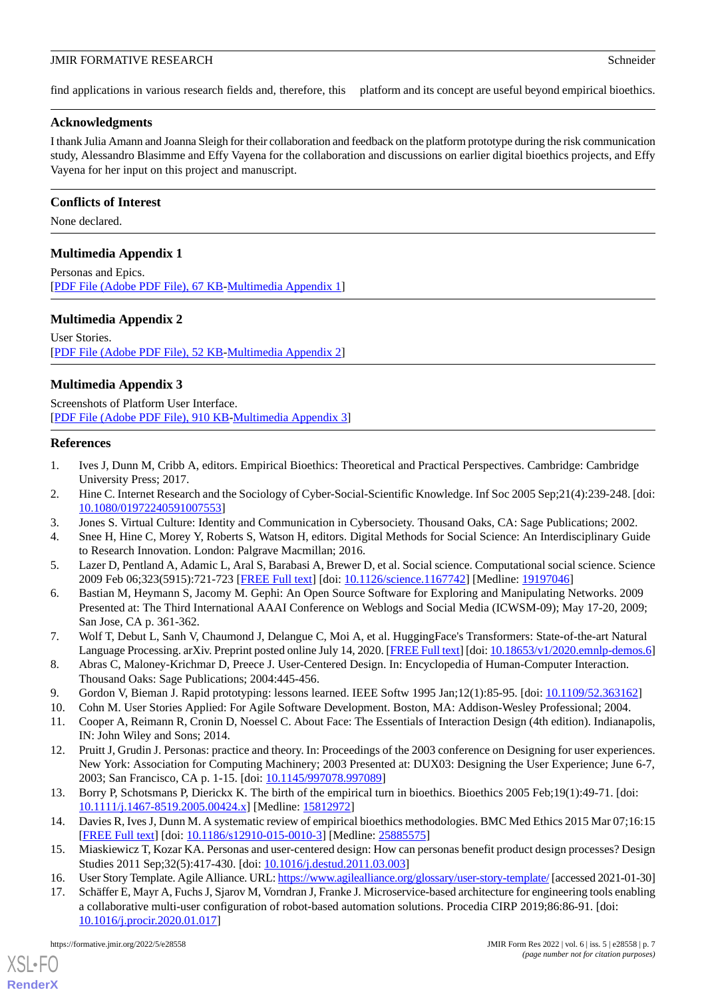find applications in various research fields and, therefore, this platform and its concept are useful beyond empirical bioethics.

#### **Acknowledgments**

I thank Julia Amann and Joanna Sleigh for their collaboration and feedback on the platform prototype during the risk communication study, Alessandro Blasimme and Effy Vayena for the collaboration and discussions on earlier digital bioethics projects, and Effy Vayena for her input on this project and manuscript.

#### **Conflicts of Interest**

<span id="page-6-16"></span>None declared.

#### **Multimedia Appendix 1**

<span id="page-6-17"></span>Personas and Epics. [[PDF File \(Adobe PDF File\), 67 KB](https://jmir.org/api/download?alt_name=formative_v6i5e28558_app1.pdf&filename=b0d9cf168e68e88485cc05563cb58df1.pdf)-[Multimedia Appendix 1\]](https://jmir.org/api/download?alt_name=formative_v6i5e28558_app1.pdf&filename=b0d9cf168e68e88485cc05563cb58df1.pdf)

### **Multimedia Appendix 2**

<span id="page-6-19"></span>User Stories. [[PDF File \(Adobe PDF File\), 52 KB](https://jmir.org/api/download?alt_name=formative_v6i5e28558_app2.pdf&filename=16697cbc0bf1162a1f2eabd2bde622d5.pdf)-[Multimedia Appendix 2\]](https://jmir.org/api/download?alt_name=formative_v6i5e28558_app2.pdf&filename=16697cbc0bf1162a1f2eabd2bde622d5.pdf)

### **Multimedia Appendix 3**

<span id="page-6-0"></span>Screenshots of Platform User Interface. [[PDF File \(Adobe PDF File\), 910 KB](https://jmir.org/api/download?alt_name=formative_v6i5e28558_app3.pdf&filename=fe9a0d76136cfd79a7c9b680d29185ac.pdf)-[Multimedia Appendix 3\]](https://jmir.org/api/download?alt_name=formative_v6i5e28558_app3.pdf&filename=fe9a0d76136cfd79a7c9b680d29185ac.pdf)

#### <span id="page-6-1"></span>**References**

- <span id="page-6-2"></span>1. Ives J, Dunn M, Cribb A, editors. Empirical Bioethics: Theoretical and Practical Perspectives. Cambridge: Cambridge University Press; 2017.
- <span id="page-6-3"></span>2. Hine C. Internet Research and the Sociology of Cyber-Social-Scientific Knowledge. Inf Soc 2005 Sep;21(4):239-248. [doi: [10.1080/01972240591007553\]](http://dx.doi.org/10.1080/01972240591007553)
- <span id="page-6-4"></span>3. Jones S. Virtual Culture: Identity and Communication in Cybersociety. Thousand Oaks, CA: Sage Publications; 2002.
- <span id="page-6-5"></span>4. Snee H, Hine C, Morey Y, Roberts S, Watson H, editors. Digital Methods for Social Science: An Interdisciplinary Guide to Research Innovation. London: Palgrave Macmillan; 2016.
- <span id="page-6-6"></span>5. Lazer D, Pentland A, Adamic L, Aral S, Barabasi A, Brewer D, et al. Social science. Computational social science. Science 2009 Feb 06;323(5915):721-723 [[FREE Full text](http://europepmc.org/abstract/MED/19197046)] [doi: [10.1126/science.1167742\]](http://dx.doi.org/10.1126/science.1167742) [Medline: [19197046](http://www.ncbi.nlm.nih.gov/entrez/query.fcgi?cmd=Retrieve&db=PubMed&list_uids=19197046&dopt=Abstract)]
- <span id="page-6-7"></span>6. Bastian M, Heymann S, Jacomy M. Gephi: An Open Source Software for Exploring and Manipulating Networks. 2009 Presented at: The Third International AAAI Conference on Weblogs and Social Media (ICWSM-09); May 17-20, 2009; San Jose, CA p. 361-362.
- <span id="page-6-10"></span><span id="page-6-9"></span><span id="page-6-8"></span>7. Wolf T, Debut L, Sanh V, Chaumond J, Delangue C, Moi A, et al. HuggingFace's Transformers: State-of-the-art Natural Language Processing. arXiv. Preprint posted online July 14, 2020. [\[FREE Full text\]](http://arxiv.org/abs/1910.03771) [doi: [10.18653/v1/2020.emnlp-demos.6\]](http://dx.doi.org/10.18653/v1/2020.emnlp-demos.6)
- <span id="page-6-11"></span>8. Abras C, Maloney-Krichmar D, Preece J. User-Centered Design. In: Encyclopedia of Human-Computer Interaction. Thousand Oaks: Sage Publications; 2004:445-456.
- 9. Gordon V, Bieman J. Rapid prototyping: lessons learned. IEEE Softw 1995 Jan;12(1):85-95. [doi: [10.1109/52.363162](http://dx.doi.org/10.1109/52.363162)]
- <span id="page-6-12"></span>10. Cohn M. User Stories Applied: For Agile Software Development. Boston, MA: Addison-Wesley Professional; 2004.
- 11. Cooper A, Reimann R, Cronin D, Noessel C. About Face: The Essentials of Interaction Design (4th edition). Indianapolis, IN: John Wiley and Sons; 2014.
- <span id="page-6-14"></span><span id="page-6-13"></span>12. Pruitt J, Grudin J. Personas: practice and theory. In: Proceedings of the 2003 conference on Designing for user experiences. New York: Association for Computing Machinery; 2003 Presented at: DUX03: Designing the User Experience; June 6-7, 2003; San Francisco, CA p. 1-15. [doi: [10.1145/997078.997089](http://dx.doi.org/10.1145/997078.997089)]
- <span id="page-6-18"></span><span id="page-6-15"></span>13. Borry P, Schotsmans P, Dierickx K. The birth of the empirical turn in bioethics. Bioethics 2005 Feb;19(1):49-71. [doi: [10.1111/j.1467-8519.2005.00424.x\]](http://dx.doi.org/10.1111/j.1467-8519.2005.00424.x) [Medline: [15812972\]](http://www.ncbi.nlm.nih.gov/entrez/query.fcgi?cmd=Retrieve&db=PubMed&list_uids=15812972&dopt=Abstract)
- 14. Davies R, Ives J, Dunn M. A systematic review of empirical bioethics methodologies. BMC Med Ethics 2015 Mar 07;16:15 [[FREE Full text](https://bmcmedethics.biomedcentral.com/articles/10.1186/s12910-015-0010-3)] [doi: [10.1186/s12910-015-0010-3\]](http://dx.doi.org/10.1186/s12910-015-0010-3) [Medline: [25885575](http://www.ncbi.nlm.nih.gov/entrez/query.fcgi?cmd=Retrieve&db=PubMed&list_uids=25885575&dopt=Abstract)]
- 15. Miaskiewicz T, Kozar KA. Personas and user-centered design: How can personas benefit product design processes? Design Studies 2011 Sep;32(5):417-430. [doi: [10.1016/j.destud.2011.03.003](http://dx.doi.org/10.1016/j.destud.2011.03.003)]
- 16. User Story Template. Agile Alliance. URL:<https://www.agilealliance.org/glossary/user-story-template/> [accessed 2021-01-30]
- 17. Schäffer E, Mayr A, Fuchs J, Sjarov M, Vorndran J, Franke J. Microservice-based architecture for engineering tools enabling a collaborative multi-user configuration of robot-based automation solutions. Procedia CIRP 2019;86:86-91. [doi: [10.1016/j.procir.2020.01.017\]](http://dx.doi.org/10.1016/j.procir.2020.01.017)